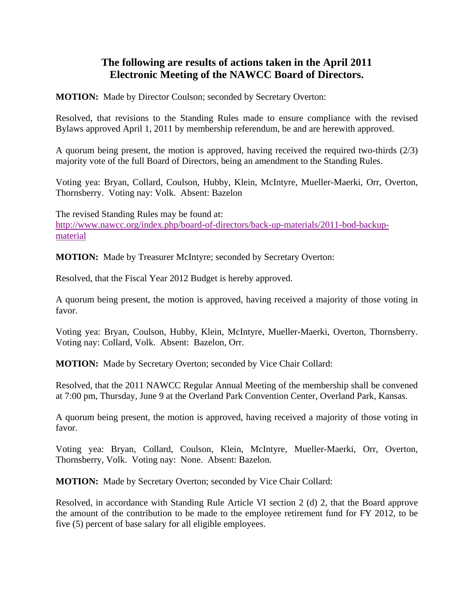## **The following are results of actions taken in the April 2011 Electronic Meeting of the NAWCC Board of Directors.**

**MOTION:** Made by Director Coulson; seconded by Secretary Overton:

Resolved, that revisions to the Standing Rules made to ensure compliance with the revised Bylaws approved April 1, 2011 by membership referendum, be and are herewith approved.

A quorum being present, the motion is approved, having received the required two-thirds (2/3) majority vote of the full Board of Directors, being an amendment to the Standing Rules.

Voting yea: Bryan, Collard, Coulson, Hubby, Klein, McIntyre, Mueller-Maerki, Orr, Overton, Thornsberry. Voting nay: Volk. Absent: Bazelon

The revised Standing Rules may be found at: [http://www.nawcc.org/index.php/board-of-directors/back-up-materials/2011-bod-backup](http://www.nawcc.org/index.php/board-of-directors/back-up-materials/2011-bod-backup-material)[material](http://www.nawcc.org/index.php/board-of-directors/back-up-materials/2011-bod-backup-material)

**MOTION:** Made by Treasurer McIntyre; seconded by Secretary Overton:

Resolved, that the Fiscal Year 2012 Budget is hereby approved.

A quorum being present, the motion is approved, having received a majority of those voting in favor.

Voting yea: Bryan, Coulson, Hubby, Klein, McIntyre, Mueller-Maerki, Overton, Thornsberry. Voting nay: Collard, Volk. Absent: Bazelon, Orr.

**MOTION:** Made by Secretary Overton; seconded by Vice Chair Collard:

Resolved, that the 2011 NAWCC Regular Annual Meeting of the membership shall be convened at 7:00 pm, Thursday, June 9 at the Overland Park Convention Center, Overland Park, Kansas.

A quorum being present, the motion is approved, having received a majority of those voting in favor.

Voting yea: Bryan, Collard, Coulson, Klein, McIntyre, Mueller-Maerki, Orr, Overton, Thornsberry, Volk. Voting nay: None. Absent: Bazelon.

**MOTION:** Made by Secretary Overton; seconded by Vice Chair Collard:

Resolved, in accordance with Standing Rule Article VI section 2 (d) 2, that the Board approve the amount of the contribution to be made to the employee retirement fund for FY 2012, to be five (5) percent of base salary for all eligible employees.